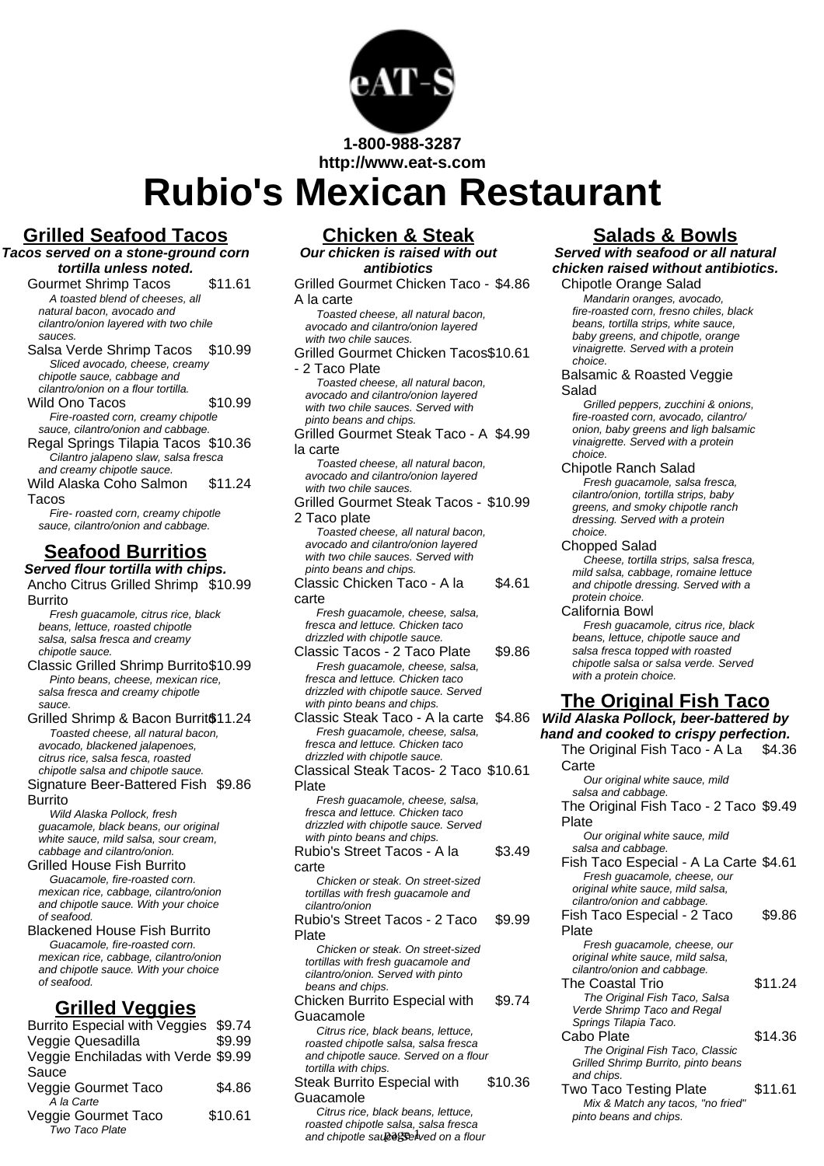

**Rubio's Mexican Restaurant**

### **Grilled Seafood Tacos**

**Tacos served on a stone-ground corn tortilla unless noted.**

Gourmet Shrimp Tacos \$11.61 A toasted blend of cheeses, all natural bacon, avocado and cilantro/onion layered with two chile sauces.

Salsa Verde Shrimp Tacos \$10.99 Sliced avocado, cheese, creamy chipotle sauce, cabbage and cilantro/onion on a flour tortilla.

Wild Ono Tacos \$10.99 Fire-roasted corn, creamy chipotle

sauce, cilantro/onion and cabbage. Regal Springs Tilapia Tacos \$10.36 Cilantro jalapeno slaw, salsa fresca and creamy chipotle sauce.

Wild Alaska Coho Salmon Tacos \$11.24

Fire- roasted corn, creamy chipotle sauce, cilantro/onion and cabbage.

# **Seafood Burritios**

**Served flour tortilla with chips.** Ancho Citrus Grilled Shrimp \$10.99

Burrito Fresh guacamole, citrus rice, black beans, lettuce, roasted chipotle salsa, salsa fresca and creamy chipotle sauce.

Classic Grilled Shrimp Burrito\$10.99 Pinto beans, cheese, mexican rice, salsa fresca and creamy chipotle sauce.

Grilled Shrimp & Bacon Burrit<sup>611.24</sup> Toasted cheese, all natural bacon, avocado, blackened jalapenoes, citrus rice, salsa fesca, roasted chipotle salsa and chipotle sauce. Signature Beer-Battered Fish \$9.86 Burrito

Wild Alaska Pollock, fresh guacamole, black beans, our original white sauce, mild salsa, sour cream, cabbage and cilantro/onion.

Grilled House Fish Burrito Guacamole, fire-roasted corn. mexican rice, cabbage, cilantro/onion and chipotle sauce. With your choice of seafood.

Blackened House Fish Burrito Guacamole, fire-roasted corn. mexican rice, cabbage, cilantro/onion and chipotle sauce. With your choice of seafood.

## **Grilled Veggies**

| Burrito Especial with Veggies \$9.74 |         |
|--------------------------------------|---------|
| Veggie Quesadilla                    | \$9.99  |
| Veggie Enchiladas with Verde \$9.99  |         |
| Sauce                                |         |
| Veggie Gourmet Taco                  | \$4.86  |
| A la Carte                           |         |
| Veggie Gourmet Taco                  | \$10.61 |
| Two Taco Plate                       |         |

# **Chicken & Steak**

**Our chicken is raised with out antibiotics** Grilled Gourmet Chicken Taco - \$4.86

A la carte Toasted cheese, all natural bacon, avocado and cilantro/onion layered with two chile sauces.

Grilled Gourmet Chicken Tacos \$10.61 - 2 Taco Plate Toasted cheese, all natural bacon,

avocado and cilantro/onion layered with two chile sauces. Served with pinto beans and chips.

Grilled Gourmet Steak Taco - A \$4.99 la carte

Toasted cheese, all natural bacon, avocado and cilantro/onion layered with two chile sauces.

Grilled Gourmet Steak Tacos - \$10.99 2 Taco plate Toasted cheese, all natural bacon,

avocado and cilantro/onion layered with two chile sauces. Served with pinto beans and chips.

Classic Chicken Taco - A la carte \$4.61

Fresh guacamole, cheese, salsa, fresca and lettuce. Chicken taco drizzled with chipotle sauce.

Classic Tacos - 2 Taco Plate \$9.86 Fresh guacamole, cheese, salsa, fresca and lettuce. Chicken taco drizzled with chipotle sauce. Served with pinto beans and chips.

Classic Steak Taco - A la carte \$4.86 Fresh guacamole, cheese, salsa, fresca and lettuce. Chicken taco drizzled with chipotle sauce.

Classical Steak Tacos- 2 Taco \$10.61 Plate Fresh guacamole, cheese, salsa,

fresca and lettuce. Chicken taco drizzled with chipotle sauce. Served with pinto beans and chips.

Rubio's Street Tacos - A la carte \$3.49 Chicken or steak. On street-sized tortillas with fresh guacamole and cilantro/onion Rubio's Street Tacos - 2 Taco Plate \$9.99 Chicken or steak. On street-sized

tortillas with fresh guacamole and cilantro/onion. Served with pinto beans and chips.

Chicken Burrito Especial with Guacamole \$9.74

Citrus rice, black beans, lettuce, roasted chipotle salsa, salsa fresca and chipotle sauce. Served on a flour tortilla with chips.

Steak Burrito Especial with Guacamole \$10.36

Citrus rice, black beans, lettuce, roasted chipotle salsa, salsa fresca and chipotle sau es Selved on a flour

### **Salads & Bowls**

**Served with seafood or all natural chicken raised without antibiotics.**

Chipotle Orange Salad Mandarin oranges, avocado, fire-roasted corn, fresno chiles, black beans, tortilla strips, white sauce, baby greens, and chipotle, orange vinaigrette. Served with a protein

#### choice. Balsamic & Roasted Veggie Salad

Grilled peppers, zucchini & onions, fire-roasted corn, avocado, cilantro/ onion, baby greens and ligh balsamic vinaigrette. Served with a protein choice.

Chipotle Ranch Salad

.<br>Fresh quacamole, salsa fresca, cilantro/onion, tortilla strips, baby greens, and smoky chipotle ranch dressing. Served with a protein choice.

Chopped Salad

Cheese, tortilla strips, salsa fresca, mild salsa, cabbage, romaine lettuce and chipotle dressing. Served with a protein choice.

California Bowl Fresh guacamole, citrus rice, black

beans, lettuce, chipotle sauce and salsa fresca topped with roasted chipotle salsa or salsa verde. Served with a protein choice.

### **The Original Fish Taco**

**Wild Alaska Pollock, beer-battered by hand and cooked to crispy perfection.**

The Original Fish Taco - A La Carte \$4.36 Our original white sauce, mild salsa and cabbage. The Original Fish Taco - 2 Taco \$9.49 Plate Our original white sauce, mild salsa and cabbage. Fish Taco Especial - A La Carte \$4.61 Fresh guacamole, cheese, our original white sauce, mild salsa, cilantro/onion and cabbage. Fish Taco Especial - 2 Taco Plate \$9.86 Fresh guacamole, cheese, our original white sauce, mild salsa, cilantro/onion and cabbage. The Coastal Trio 511.24 The Original Fish Taco, Salsa Verde Shrimp Taco and Regal Springs Tilapia Taco. Cabo Plate \$14.36 The Original Fish Taco, Classic Grilled Shrimp Burrito, pinto beans and chips. Two Taco Testing Plate \$11.61 Mix & Match any tacos, "no fried" pinto beans and chips.